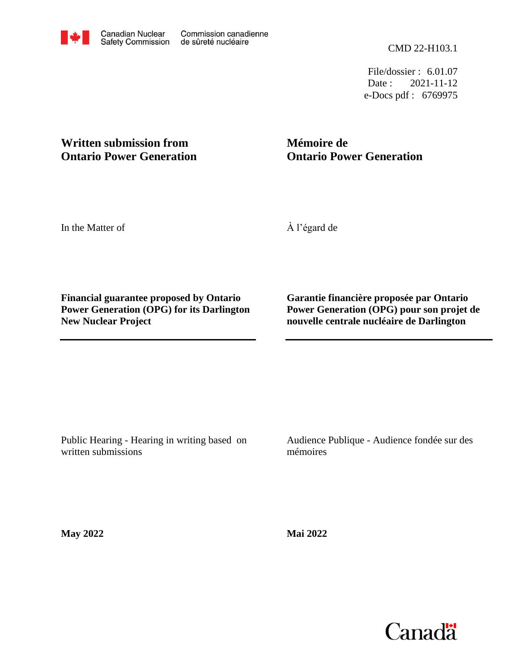e-Docs pdf : 6769975 Date: 2021-11-12 File/dossier : 6.01.07

# **Written submission from Ontario Power Generation**

# **Mémoire de Ontario Power Generation**

In the Matter of

À l'égard de

**Financial guarantee proposed by Ontario Power Generation (OPG) for its Darlington New Nuclear Project**

**Garantie financière proposée par Ontario Power Generation (OPG) pour son projet de nouvelle centrale nucléaire de Darlington**

Public Hearing - Hearing in writing based on written submissions

Audience Publique - Audience fondée sur des mémoires

**May 2022**

**Mai 2022**

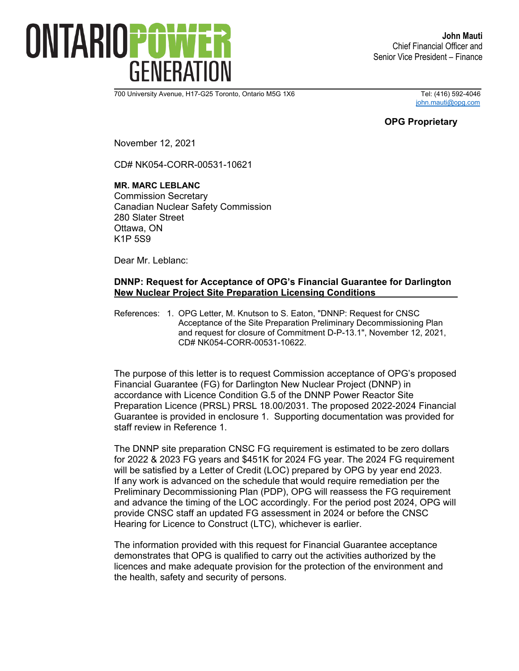

700 University Avenue, H17-G25 Toronto, Ontario M5G 1X6 Tel: (416) 592-4046

[john.mauti@opg.com](mailto:john.mauti@opg.com)

### **OPG Proprietary**

November 12, 2021

CD# NK054-CORR-00531-10621

#### **MR. MARC LEBLANC**

Commission Secretary Canadian Nuclear Safety Commission 280 Slater Street Ottawa, ON K1P 5S9

Dear Mr. Leblanc:

### **DNNP: Request for Acceptance of OPG's Financial Guarantee for Darlington New Nuclear Project Site Preparation Licensing Conditions**

References: 1. OPG Letter, M. Knutson to S. Eaton, "DNNP: Request for CNSC Acceptance of the Site Preparation Preliminary Decommissioning Plan and request for closure of Commitment D-P-13.1", November 12, 2021, CD# NK054-CORR-00531-10622.

The purpose of this letter is to request Commission acceptance of OPG's proposed Financial Guarantee (FG) for Darlington New Nuclear Project (DNNP) in accordance with Licence Condition G.5 of the DNNP Power Reactor Site Preparation Licence (PRSL) PRSL 18.00/2031. The proposed 2022-2024 Financial Guarantee is provided in enclosure 1. Supporting documentation was provided for staff review in Reference 1.

The DNNP site preparation CNSC FG requirement is estimated to be zero dollars for 2022 & 2023 FG years and \$451K for 2024 FG year. The 2024 FG requirement will be satisfied by a Letter of Credit (LOC) prepared by OPG by year end 2023. If any work is advanced on the schedule that would require remediation per the Preliminary Decommissioning Plan (PDP), OPG will reassess the FG requirement and advance the timing of the LOC accordingly. For the period post 2024, OPG will provide CNSC staff an updated FG assessment in 2024 or before the CNSC Hearing for Licence to Construct (LTC), whichever is earlier.

The information provided with this request for Financial Guarantee acceptance demonstrates that OPG is qualified to carry out the activities authorized by the licences and make adequate provision for the protection of the environment and the health, safety and security of persons.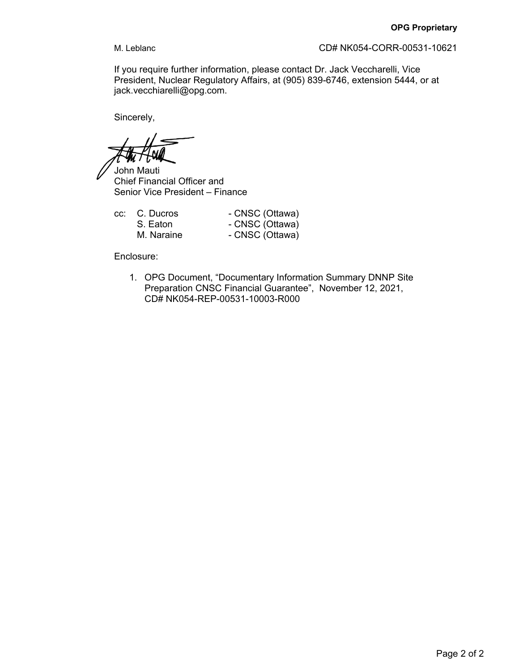M. Leblanc CD# NK054-CORR-00531-10621

If you require further information, please contact Dr. Jack Veccharelli, Vice President, Nuclear Regulatory Affairs, at (905) 839-6746, extension 5444, or at jack.vecchiarelli@opg.com.

Sincerely,

John Mauti Chief Financial Officer and Senior Vice President – Finance

| cc: C. Ducros | - CNSC (Ottawa) |
|---------------|-----------------|
| S. Eaton      | - CNSC (Ottawa) |
| M. Naraine    | - CNSC (Ottawa) |

Enclosure:

1. OPG Document, "Documentary Information Summary DNNP Site Preparation CNSC Financial Guarantee", November 12, 2021, CD# NK054-REP-00531-10003-R000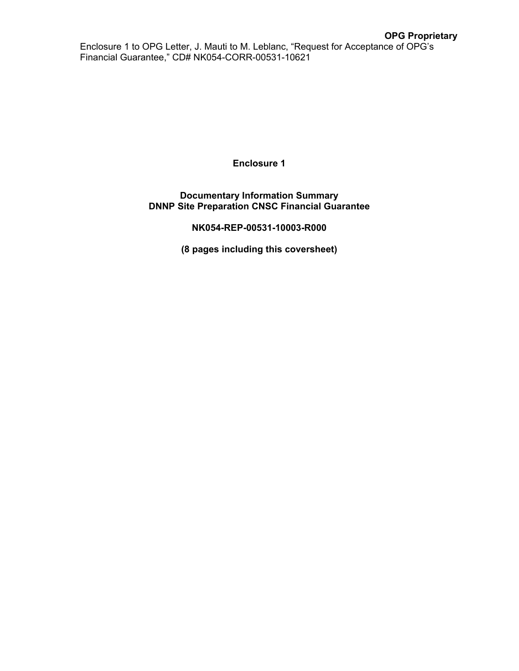Enclosure 1 to OPG Letter, J. Mauti to M. Leblanc, "Request for Acceptance of OPG's Financial Guarantee," CD# NK054-CORR-00531-10621

**Enclosure 1**

### **Documentary Information Summary DNNP Site Preparation CNSC Financial Guarantee**

**NK054-REP-00531-10003-R000**

**(8 pages including this coversheet)**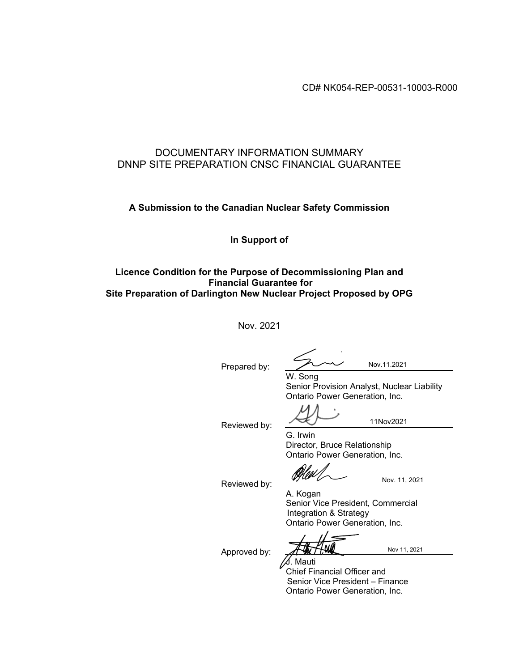CD# NK054-REP-00531-10003-R000

### DOCUMENTARY INFORMATION SUMMARY DNNP SITE PREPARATION CNSC FINANCIAL GUARANTEE

### **A Submission to the Canadian Nuclear Safety Commission**

### **In Support of**

### **Licence Condition for the Purpose of Decommissioning Plan and Financial Guarantee for Site Preparation of Darlington New Nuclear Project Proposed by OPG**

Nov. 2021

Prepared by:

Nov.11.2021

W. Song Senior Provision Analyst, Nuclear Liability Ontario Power Generation, Inc.

Reviewed by:

11Nov2021

G. Irwin Director, Bruce Relationship Ontario Power Generation, Inc.

Reviewed by:

Nov. 11, 2021

A. Kogan Senior Vice President, Commercial Integration & Strategy Ontario Power Generation, Inc.

Approved by:

Nov 11, 2021

J. Mauti Chief Financial Officer and Senior Vice President – Finance Ontario Power Generation, Inc.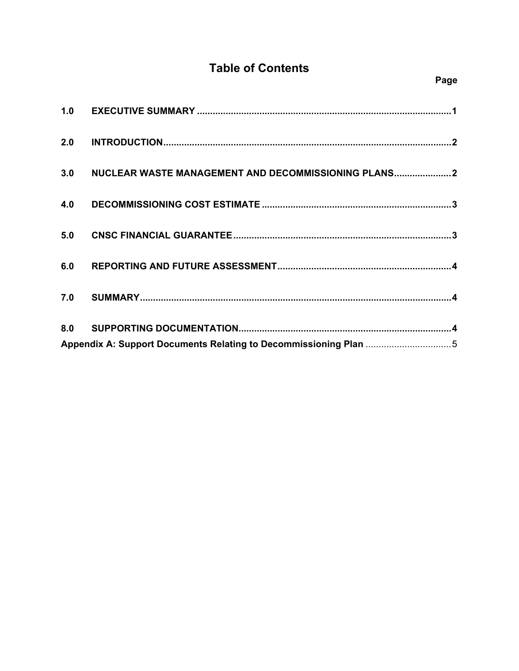# **Table of Contents**

| 3.0 | NUCLEAR WASTE MANAGEMENT AND DECOMMISSIONING PLANS2              |  |
|-----|------------------------------------------------------------------|--|
| 4.0 |                                                                  |  |
| 5.0 |                                                                  |  |
| 6.0 |                                                                  |  |
| 7.0 |                                                                  |  |
|     |                                                                  |  |
|     | Appendix A: Support Documents Relating to Decommissioning Plan 5 |  |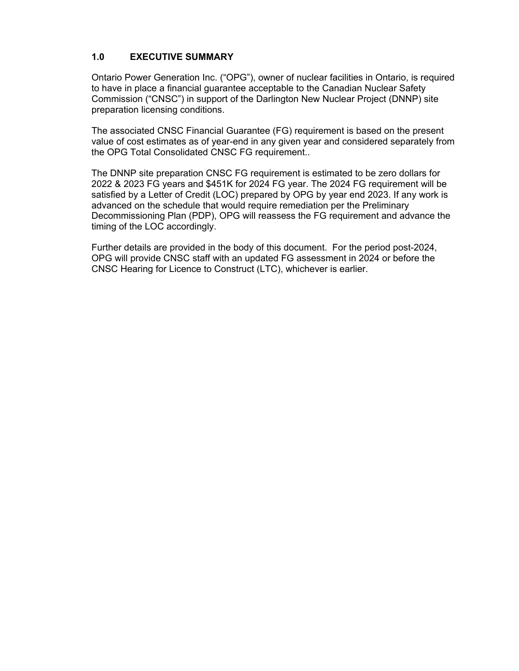### **1.0 EXECUTIVE SUMMARY**

Ontario Power Generation Inc. ("OPG"), owner of nuclear facilities in Ontario, is required to have in place a financial guarantee acceptable to the Canadian Nuclear Safety Commission ("CNSC") in support of the Darlington New Nuclear Project (DNNP) site preparation licensing conditions.

The associated CNSC Financial Guarantee (FG) requirement is based on the present value of cost estimates as of year-end in any given year and considered separately from the OPG Total Consolidated CNSC FG requirement..

The DNNP site preparation CNSC FG requirement is estimated to be zero dollars for 2022 & 2023 FG years and \$451K for 2024 FG year. The 2024 FG requirement will be satisfied by a Letter of Credit (LOC) prepared by OPG by year end 2023. If any work is advanced on the schedule that would require remediation per the Preliminary Decommissioning Plan (PDP), OPG will reassess the FG requirement and advance the timing of the LOC accordingly.

Further details are provided in the body of this document. For the period post-2024, OPG will provide CNSC staff with an updated FG assessment in 2024 or before the CNSC Hearing for Licence to Construct (LTC), whichever is earlier.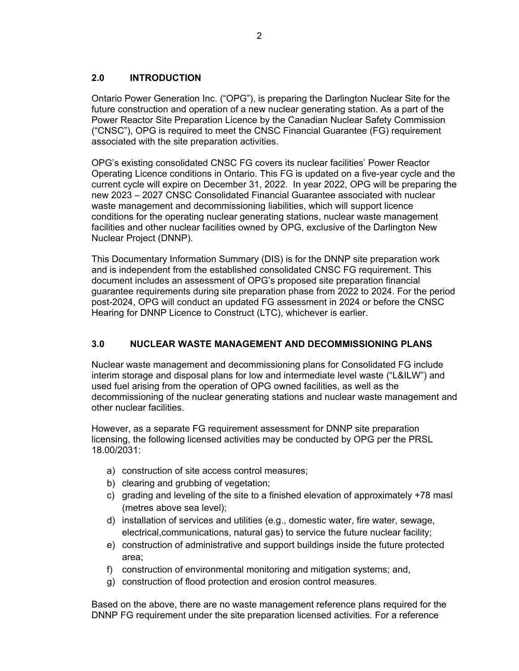### **2.0 INTRODUCTION**

Ontario Power Generation Inc. ("OPG"), is preparing the Darlington Nuclear Site for the future construction and operation of a new nuclear generating station. As a part of the Power Reactor Site Preparation Licence by the Canadian Nuclear Safety Commission ("CNSC"), OPG is required to meet the CNSC Financial Guarantee (FG) requirement associated with the site preparation activities.

OPG's existing consolidated CNSC FG covers its nuclear facilities' Power Reactor Operating Licence conditions in Ontario. This FG is updated on a five-year cycle and the current cycle will expire on December 31, 2022. In year 2022, OPG will be preparing the new 2023 – 2027 CNSC Consolidated Financial Guarantee associated with nuclear waste management and decommissioning liabilities, which will support licence conditions for the operating nuclear generating stations, nuclear waste management facilities and other nuclear facilities owned by OPG, exclusive of the Darlington New Nuclear Project (DNNP).

This Documentary Information Summary (DIS) is for the DNNP site preparation work and is independent from the established consolidated CNSC FG requirement. This document includes an assessment of OPG's proposed site preparation financial guarantee requirements during site preparation phase from 2022 to 2024. For the period post-2024, OPG will conduct an updated FG assessment in 2024 or before the CNSC Hearing for DNNP Licence to Construct (LTC), whichever is earlier.

## **3.0 NUCLEAR WASTE MANAGEMENT AND DECOMMISSIONING PLANS**

Nuclear waste management and decommissioning plans for Consolidated FG include interim storage and disposal plans for low and intermediate level waste ("L&ILW") and used fuel arising from the operation of OPG owned facilities, as well as the decommissioning of the nuclear generating stations and nuclear waste management and other nuclear facilities.

However, as a separate FG requirement assessment for DNNP site preparation licensing, the following licensed activities may be conducted by OPG per the PRSL 18.00/2031:

- a) construction of site access control measures;
- b) clearing and grubbing of vegetation;
- c) grading and leveling of the site to a finished elevation of approximately +78 masl (metres above sea level);
- d) installation of services and utilities (e.g., domestic water, fire water, sewage, electrical,communications, natural gas) to service the future nuclear facility;
- e) construction of administrative and support buildings inside the future protected area;
- f) construction of environmental monitoring and mitigation systems; and,
- g) construction of flood protection and erosion control measures.

Based on the above, there are no waste management reference plans required for the DNNP FG requirement under the site preparation licensed activities. For a reference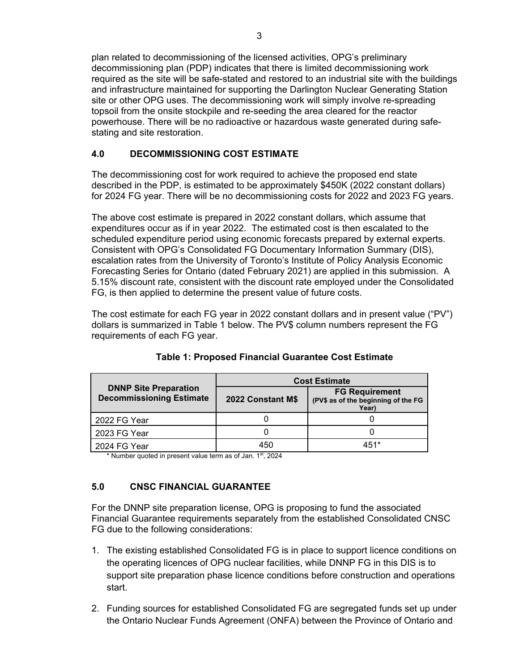plan related to decommissioning of the licensed activities, OPG's preliminary decommissioning plan (PDP) indicates that there is limited decommissioning work required as the site will be safe-stated and restored to an industrial site with the buildings and infrastructure maintained for supporting the Darlington Nuclear Generating Station site or other OPG uses. The decommissioning work will simply involve re-spreading topsoil from the onsite stockpile and re-seeding the area cleared for the reactor powerhouse. There will be no radioactive or hazardous waste generated during safestating and site restoration.

## **4.0 DECOMMISSIONING COST ESTIMATE**

The decommissioning cost for work required to achieve the proposed end state described in the PDP, is estimated to be approximately \$450K (2022 constant dollars) for 2024 FG year. There will be no decommissioning costs for 2022 and 2023 FG years.

The above cost estimate is prepared in 2022 constant dollars, which assume that expenditures occur as if in year 2022. The estimated cost is then escalated to the scheduled expenditure period using economic forecasts prepared by external experts. Consistent with OPG's Consolidated FG Documentary Information Summary (DIS), escalation rates from the University of Toronto's Institute of Policy Analysis Economic Forecasting Series for Ontario (dated February 2021) are applied in this submission. A 5.15% discount rate, consistent with the discount rate employed under the Consolidated FG, is then applied to determine the present value of future costs.

The cost estimate for each FG year in 2022 constant dollars and in present value ("PV") dollars is summarized in Table 1 below. The PV\$ column numbers represent the FG requirements of each FG year.

|                                                                 | <b>Cost Estimate</b> |                                                                       |  |
|-----------------------------------------------------------------|----------------------|-----------------------------------------------------------------------|--|
| <b>DNNP Site Preparation</b><br><b>Decommissioning Estimate</b> | 2022 Constant M\$    | <b>FG Requirement</b><br>(PV\$ as of the beginning of the FG<br>Year) |  |
| 2022 FG Year                                                    |                      |                                                                       |  |
| 2023 FG Year                                                    |                      |                                                                       |  |
| 2024 FG Year                                                    | 150                  | 151*                                                                  |  |

| Table 1: Proposed Financial Guarantee Cost Estimate |  |
|-----------------------------------------------------|--|
|-----------------------------------------------------|--|

\* Number quoted in present value term as of Jan. 1<sup>st</sup>, 2024

## **5.0 CNSC FINANCIAL GUARANTEE**

For the DNNP site preparation license, OPG is proposing to fund the associated Financial Guarantee requirements separately from the established Consolidated CNSC FG due to the following considerations:

- 1. The existing established Consolidated FG is in place to support licence conditions on the operating licences of OPG nuclear facilities, while DNNP FG in this DIS is to support site preparation phase licence conditions before construction and operations start.
- 2. Funding sources for established Consolidated FG are segregated funds set up under the Ontario Nuclear Funds Agreement (ONFA) between the Province of Ontario and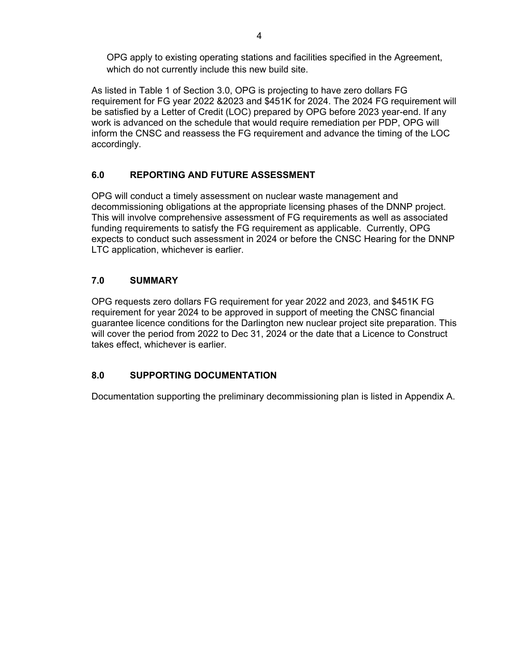OPG apply to existing operating stations and facilities specified in the Agreement, which do not currently include this new build site.

As listed in Table 1 of Section 3.0, OPG is projecting to have zero dollars FG requirement for FG year 2022 &2023 and \$451K for 2024. The 2024 FG requirement will be satisfied by a Letter of Credit (LOC) prepared by OPG before 2023 year-end. If any work is advanced on the schedule that would require remediation per PDP, OPG will inform the CNSC and reassess the FG requirement and advance the timing of the LOC accordingly.

### **6.0 REPORTING AND FUTURE ASSESSMENT**

OPG will conduct a timely assessment on nuclear waste management and decommissioning obligations at the appropriate licensing phases of the DNNP project. This will involve comprehensive assessment of FG requirements as well as associated funding requirements to satisfy the FG requirement as applicable. Currently, OPG expects to conduct such assessment in 2024 or before the CNSC Hearing for the DNNP LTC application, whichever is earlier.

### **7.0 SUMMARY**

OPG requests zero dollars FG requirement for year 2022 and 2023, and \$451K FG requirement for year 2024 to be approved in support of meeting the CNSC financial guarantee licence conditions for the Darlington new nuclear project site preparation. This will cover the period from 2022 to Dec 31, 2024 or the date that a Licence to Construct takes effect, whichever is earlier.

## **8.0 SUPPORTING DOCUMENTATION**

Documentation supporting the preliminary decommissioning plan is listed in Appendix A.